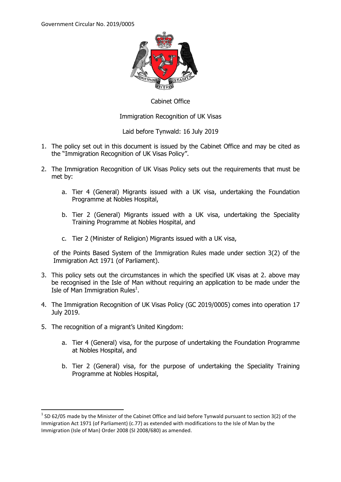

#### Cabinet Office

Immigration Recognition of UK Visas

Laid before Tynwald: 16 July 2019

- 1. The policy set out in this document is issued by the Cabinet Office and may be cited as the "Immigration Recognition of UK Visas Policy".
- 2. The Immigration Recognition of UK Visas Policy sets out the requirements that must be met by:
	- a. Tier 4 (General) Migrants issued with a UK visa, undertaking the Foundation Programme at Nobles Hospital,
	- b. Tier 2 (General) Migrants issued with a UK visa, undertaking the Speciality Training Programme at Nobles Hospital, and
	- c. Tier 2 (Minister of Religion) Migrants issued with a UK visa,

of the Points Based System of the Immigration Rules made under section 3(2) of the Immigration Act 1971 (of Parliament).

- 3. This policy sets out the circumstances in which the specified UK visas at 2. above may be recognised in the Isle of Man without requiring an application to be made under the Isle of Man Immigration Rules $^1$ .
- 4. The Immigration Recognition of UK Visas Policy (GC 2019/0005) comes into operation 17 July 2019.
- 5. The recognition of a migrant's United Kingdom:

**.** 

- a. Tier 4 (General) visa, for the purpose of undertaking the Foundation Programme at Nobles Hospital, and
- b. Tier 2 (General) visa, for the purpose of undertaking the Speciality Training Programme at Nobles Hospital,

 $1$  SD 62/05 made by the Minister of the Cabinet Office and laid before Tynwald pursuant to section 3(2) of the Immigration Act 1971 (of Parliament) (c.77) as extended with modifications to the Isle of Man by the Immigration (Isle of Man) Order 2008 (SI 2008/680) as amended.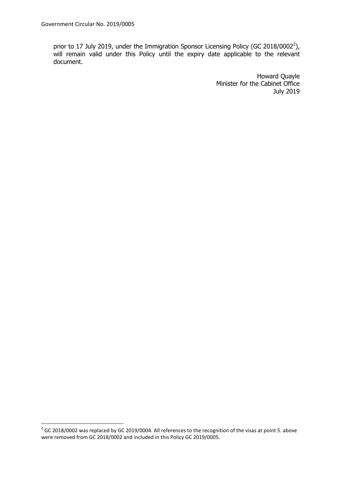prior to 17 July 2019, under the Immigration Sponsor Licensing Policy (GC 2018/0002<sup>2</sup>), will remain valid under this Policy until the expiry date applicable to the relevant document.

> Howard Quayle Minister for the Cabinet Office July 2019

 2 GC 2018/0002 was replaced by GC 2019/0004. All references to the recognition of the visas at point 5. above were removed from GC 2018/0002 and included in this Policy GC 2019/0005.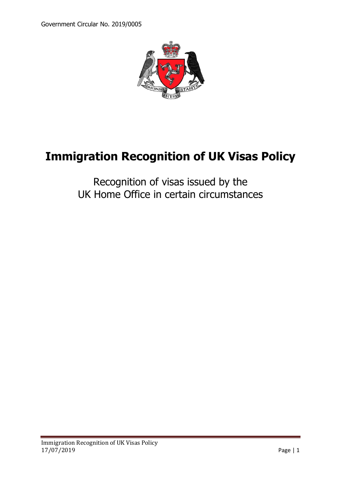

# **Immigration Recognition of UK Visas Policy**

## Recognition of visas issued by the UK Home Office in certain circumstances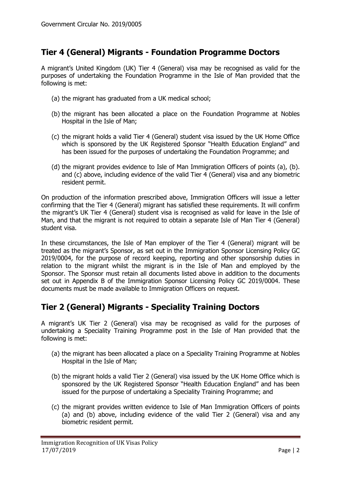#### **Tier 4 (General) Migrants - Foundation Programme Doctors**

A migrant's United Kingdom (UK) Tier 4 (General) visa may be recognised as valid for the purposes of undertaking the Foundation Programme in the Isle of Man provided that the following is met:

- (a) the migrant has graduated from a UK medical school;
- (b) the migrant has been allocated a place on the Foundation Programme at Nobles Hospital in the Isle of Man;
- (c) the migrant holds a valid Tier 4 (General) student visa issued by the UK Home Office which is sponsored by the UK Registered Sponsor "Health Education England" and has been issued for the purposes of undertaking the Foundation Programme; and
- (d) the migrant provides evidence to Isle of Man Immigration Officers of points (a), (b). and (c) above, including evidence of the valid Tier 4 (General) visa and any biometric resident permit.

On production of the information prescribed above, Immigration Officers will issue a letter confirming that the Tier 4 (General) migrant has satisfied these requirements. It will confirm the migrant's UK Tier 4 (General) student visa is recognised as valid for leave in the Isle of Man, and that the migrant is not required to obtain a separate Isle of Man Tier 4 (General) student visa.

In these circumstances, the Isle of Man employer of the Tier 4 (General) migrant will be treated as the migrant's Sponsor, as set out in the Immigration Sponsor Licensing Policy GC 2019/0004, for the purpose of record keeping, reporting and other sponsorship duties in relation to the migrant whilst the migrant is in the Isle of Man and employed by the Sponsor. The Sponsor must retain all documents listed above in addition to the documents set out in Appendix B of the Immigration Sponsor Licensing Policy GC 2019/0004. These documents must be made available to Immigration Officers on request.

#### **Tier 2 (General) Migrants - Speciality Training Doctors**

A migrant's UK Tier 2 (General) visa may be recognised as valid for the purposes of undertaking a Speciality Training Programme post in the Isle of Man provided that the following is met:

- (a) the migrant has been allocated a place on a Speciality Training Programme at Nobles Hospital in the Isle of Man;
- (b) the migrant holds a valid Tier 2 (General) visa issued by the UK Home Office which is sponsored by the UK Registered Sponsor "Health Education England" and has been issued for the purpose of undertaking a Speciality Training Programme; and
- (c) the migrant provides written evidence to Isle of Man Immigration Officers of points (a) and (b) above, including evidence of the valid Tier 2 (General) visa and any biometric resident permit.